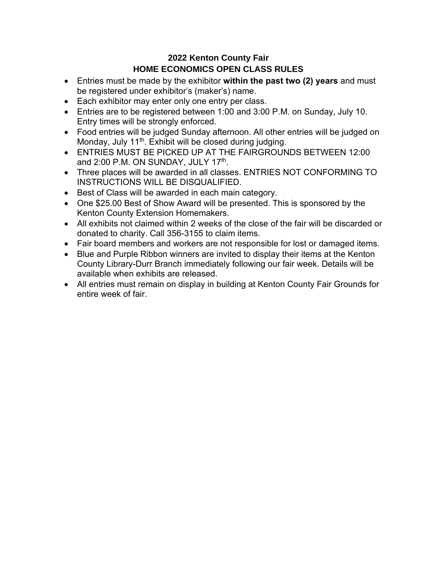## **2022 Kenton County Fair HOME ECONOMICS OPEN CLASS RULES**

- Entries must be made by the exhibitor **within the past two (2) years** and must be registered under exhibitor's (maker's) name.
- Each exhibitor may enter only one entry per class.
- Entries are to be registered between 1:00 and 3:00 P.M. on Sunday, July 10. Entry times will be strongly enforced.
- Food entries will be judged Sunday afternoon. All other entries will be judged on Monday, July 11<sup>th</sup>. Exhibit will be closed during judging.
- ENTRIES MUST BE PICKED UP AT THE FAIRGROUNDS BETWEEN 12:00 and 2:00 P.M. ON SUNDAY, JULY 17<sup>th</sup>.
- Three places will be awarded in all classes. ENTRIES NOT CONFORMING TO INSTRUCTIONS WILL BE DISQUALIFIED.
- Best of Class will be awarded in each main category.
- One \$25.00 Best of Show Award will be presented. This is sponsored by the Kenton County Extension Homemakers.
- All exhibits not claimed within 2 weeks of the close of the fair will be discarded or donated to charity. Call 356-3155 to claim items.
- Fair board members and workers are not responsible for lost or damaged items.
- Blue and Purple Ribbon winners are invited to display their items at the Kenton County Library-Durr Branch immediately following our fair week. Details will be available when exhibits are released.
- All entries must remain on display in building at Kenton County Fair Grounds for entire week of fair.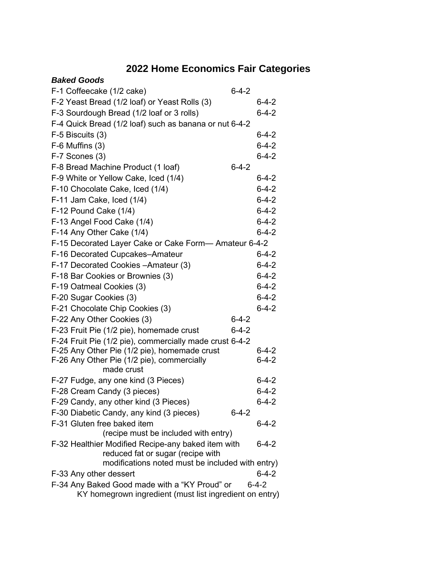# **2022 Home Economics Fair Categories**

| <b>Baked Goods</b>                                                                      |             |             |
|-----------------------------------------------------------------------------------------|-------------|-------------|
| F-1 Coffeecake (1/2 cake)                                                               | $6 - 4 - 2$ |             |
| F-2 Yeast Bread (1/2 loaf) or Yeast Rolls (3)                                           |             | $6 - 4 - 2$ |
| F-3 Sourdough Bread (1/2 loaf or 3 rolls)                                               |             | $6 - 4 - 2$ |
| F-4 Quick Bread (1/2 loaf) such as banana or nut 6-4-2                                  |             |             |
| F-5 Biscuits (3)                                                                        |             | $6 - 4 - 2$ |
| $F-6$ Muffins $(3)$                                                                     |             | $6 - 4 - 2$ |
| F-7 Scones (3)                                                                          |             | $6 - 4 - 2$ |
| F-8 Bread Machine Product (1 loaf)                                                      | $6 - 4 - 2$ |             |
| F-9 White or Yellow Cake, Iced (1/4)                                                    |             | 6-4-2       |
| F-10 Chocolate Cake, Iced (1/4)                                                         |             | $6 - 4 - 2$ |
| F-11 Jam Cake, Iced (1/4)                                                               |             | $6 - 4 - 2$ |
| F-12 Pound Cake (1/4)                                                                   |             | $6 - 4 - 2$ |
| F-13 Angel Food Cake (1/4)                                                              |             | $6 - 4 - 2$ |
| F-14 Any Other Cake (1/4)                                                               |             | $6 - 4 - 2$ |
| F-15 Decorated Layer Cake or Cake Form-Amateur 6-4-2                                    |             |             |
| F-16 Decorated Cupcakes-Amateur                                                         |             | $6 - 4 - 2$ |
| F-17 Decorated Cookies - Amateur (3)                                                    |             | $6 - 4 - 2$ |
| F-18 Bar Cookies or Brownies (3)                                                        |             | $6 - 4 - 2$ |
| F-19 Oatmeal Cookies (3)                                                                |             | $6 - 4 - 2$ |
| F-20 Sugar Cookies (3)                                                                  |             | $6 - 4 - 2$ |
| F-21 Chocolate Chip Cookies (3)                                                         |             | $6 - 4 - 2$ |
| F-22 Any Other Cookies (3)                                                              | $6 - 4 - 2$ |             |
| F-23 Fruit Pie (1/2 pie), homemade crust                                                | $6 - 4 - 2$ |             |
| F-24 Fruit Pie (1/2 pie), commercially made crust 6-4-2                                 |             |             |
| F-25 Any Other Pie (1/2 pie), homemade crust                                            |             | $6 - 4 - 2$ |
| F-26 Any Other Pie (1/2 pie), commercially                                              |             | $6 - 4 - 2$ |
| made crust                                                                              |             |             |
| F-27 Fudge, any one kind (3 Pieces)                                                     |             | $6 - 4 - 2$ |
| F-28 Cream Candy (3 pieces)                                                             |             | $6 - 4 - 2$ |
| F-29 Candy, any other kind (3 Pieces)                                                   |             | $6 - 4 - 2$ |
| F-30 Diabetic Candy, any kind (3 pieces)                                                | $6 - 4 - 2$ |             |
| F-31 Gluten free baked item                                                             |             | $6 - 4 - 2$ |
| (recipe must be included with entry)                                                    |             |             |
| F-32 Healthier Modified Recipe-any baked item with<br>reduced fat or sugar (recipe with |             | $6 - 4 - 2$ |
| modifications noted must be included with entry)                                        |             |             |
| F-33 Any other dessert                                                                  |             | $6 - 4 - 2$ |
| F-34 Any Baked Good made with a "KY Proud" or                                           |             | $6 - 4 - 2$ |
| KY homegrown ingredient (must list ingredient on entry)                                 |             |             |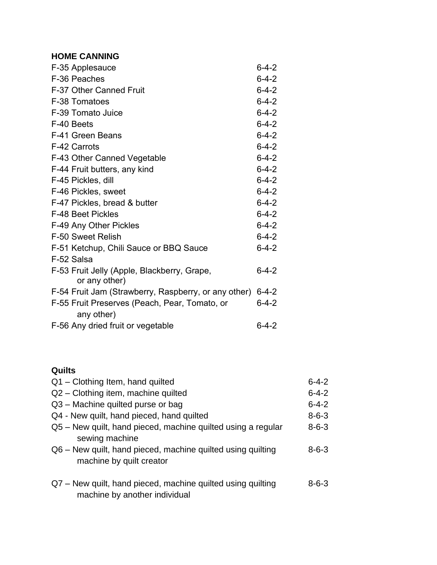## **HOME CANNING**

| F-35 Applesauce                                              | $6 - 4 - 2$ |
|--------------------------------------------------------------|-------------|
| F-36 Peaches                                                 | $6 - 4 - 2$ |
| F-37 Other Canned Fruit                                      | $6 - 4 - 2$ |
| F-38 Tomatoes                                                | $6 - 4 - 2$ |
| F-39 Tomato Juice                                            | $6 - 4 - 2$ |
| F-40 Beets                                                   | $6 - 4 - 2$ |
| F-41 Green Beans                                             | $6 - 4 - 2$ |
| F-42 Carrots                                                 | $6 - 4 - 2$ |
| F-43 Other Canned Vegetable                                  | $6 - 4 - 2$ |
| F-44 Fruit butters, any kind                                 | $6 - 4 - 2$ |
| F-45 Pickles, dill                                           | $6 - 4 - 2$ |
| F-46 Pickles, sweet                                          | $6 - 4 - 2$ |
| F-47 Pickles, bread & butter                                 | $6 - 4 - 2$ |
| <b>F-48 Beet Pickles</b>                                     | $6 - 4 - 2$ |
| F-49 Any Other Pickles                                       | $6 - 4 - 2$ |
| F-50 Sweet Relish                                            | $6 - 4 - 2$ |
| F-51 Ketchup, Chili Sauce or BBQ Sauce                       | $6 - 4 - 2$ |
| F-52 Salsa                                                   |             |
| F-53 Fruit Jelly (Apple, Blackberry, Grape,<br>or any other) | $6 - 4 - 2$ |
| F-54 Fruit Jam (Strawberry, Raspberry, or any other)         | $6 - 4 - 2$ |
| F-55 Fruit Preserves (Peach, Pear, Tomato, or<br>any other)  | $6 - 4 - 2$ |
| F-56 Any dried fruit or vegetable                            | $6 - 4 - 2$ |

## **Quilts**

| Q1 - Clothing Item, hand quilted                                                             | $6 - 4 - 2$ |
|----------------------------------------------------------------------------------------------|-------------|
| Q2 - Clothing item, machine quilted                                                          | $6 - 4 - 2$ |
| Q3 - Machine quilted purse or bag                                                            | $6 - 4 - 2$ |
| Q4 - New quilt, hand pieced, hand quilted                                                    | $8 - 6 - 3$ |
| Q5 – New quilt, hand pieced, machine quilted using a regular<br>sewing machine               | $8 - 6 - 3$ |
| Q6 – New quilt, hand pieced, machine quilted using quilting<br>machine by quilt creator      | $8 - 6 - 3$ |
| Q7 - New quilt, hand pieced, machine quilted using quilting<br>machine by another individual | $8 - 6 - 3$ |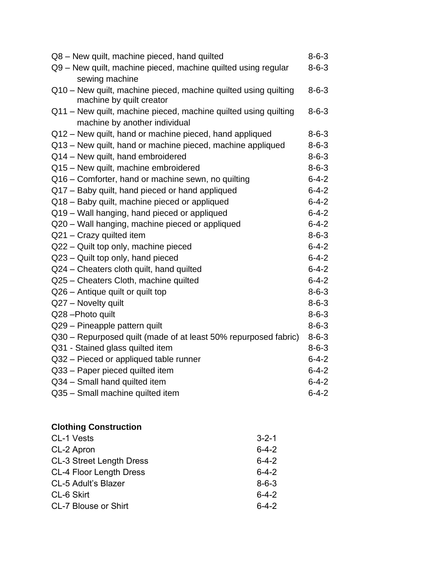| Q8 - New quilt, machine pieced, hand quilted                                                     | $8 - 6 - 3$ |
|--------------------------------------------------------------------------------------------------|-------------|
| Q9 - New quilt, machine pieced, machine quilted using regular<br>sewing machine                  | $8 - 6 - 3$ |
| Q10 - New quilt, machine pieced, machine quilted using quilting<br>machine by quilt creator      | $8 - 6 - 3$ |
| Q11 - New quilt, machine pieced, machine quilted using quilting<br>machine by another individual | $8 - 6 - 3$ |
| Q12 - New quilt, hand or machine pieced, hand appliqued                                          | $8 - 6 - 3$ |
| Q13 - New quilt, hand or machine pieced, machine appliqued                                       | $8 - 6 - 3$ |
| Q14 - New quilt, hand embroidered                                                                | $8 - 6 - 3$ |
| Q15 - New quilt, machine embroidered                                                             | $8 - 6 - 3$ |
| Q16 – Comforter, hand or machine sewn, no quilting                                               | $6 - 4 - 2$ |
| Q17 - Baby quilt, hand pieced or hand appliqued                                                  | $6 - 4 - 2$ |
| Q18 - Baby quilt, machine pieced or appliqued                                                    | $6 - 4 - 2$ |
| Q19 - Wall hanging, hand pieced or appliqued                                                     | $6 - 4 - 2$ |
| Q20 - Wall hanging, machine pieced or appliqued                                                  | $6 - 4 - 2$ |
| Q21 - Crazy quilted item                                                                         | $8 - 6 - 3$ |
| Q22 - Quilt top only, machine pieced                                                             | $6 - 4 - 2$ |
| Q23 - Quilt top only, hand pieced                                                                | $6 - 4 - 2$ |
| Q24 - Cheaters cloth quilt, hand quilted                                                         | $6 - 4 - 2$ |
| Q25 - Cheaters Cloth, machine quilted                                                            | $6 - 4 - 2$ |
| Q26 - Antique quilt or quilt top                                                                 | $8 - 6 - 3$ |
| Q27 - Novelty quilt                                                                              | $8 - 6 - 3$ |
| Q28-Photo quilt                                                                                  | $8 - 6 - 3$ |
| Q29 - Pineapple pattern quilt                                                                    | $8 - 6 - 3$ |
| Q30 – Repurposed quilt (made of at least 50% repurposed fabric)                                  | $8 - 6 - 3$ |
| Q31 - Stained glass quilted item                                                                 | $8 - 6 - 3$ |
| Q32 - Pieced or appliqued table runner                                                           | $6 - 4 - 2$ |
| Q33 - Paper pieced quilted item                                                                  | $6 - 4 - 2$ |
| Q34 - Small hand quilted item                                                                    | $6 - 4 - 2$ |
| Q35 - Small machine quilted item                                                                 | $6 - 4 - 2$ |

#### **Clothing Construction**

| CL-1 Vests                      | $3 - 2 - 1$ |
|---------------------------------|-------------|
| CL-2 Apron                      | $6 - 4 - 2$ |
| <b>CL-3 Street Length Dress</b> | $6 - 4 - 2$ |
| CL-4 Floor Length Dress         | $6 - 4 - 2$ |
| <b>CL-5 Adult's Blazer</b>      | $8 - 6 - 3$ |
| CL-6 Skirt                      | $6 - 4 - 2$ |
| <b>CL-7 Blouse or Shirt</b>     | $6 - 4 - 2$ |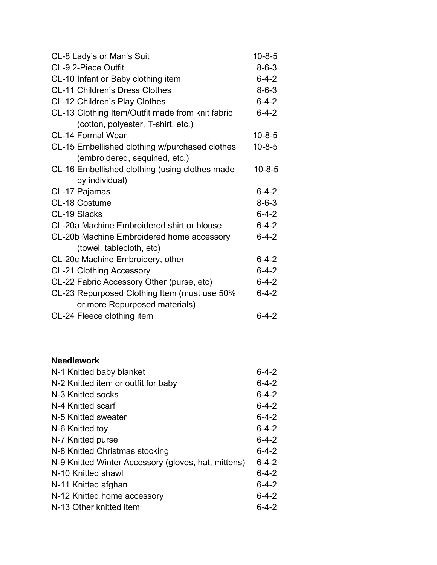| CL-8 Lady's or Man's Suit                        | $10 - 8 - 5$ |
|--------------------------------------------------|--------------|
| CL-9 2-Piece Outfit                              | $8 - 6 - 3$  |
| CL-10 Infant or Baby clothing item               | $6 - 4 - 2$  |
| <b>CL-11 Children's Dress Clothes</b>            | $8 - 6 - 3$  |
| CL-12 Children's Play Clothes                    | $6 - 4 - 2$  |
| CL-13 Clothing Item/Outfit made from knit fabric | $6 - 4 - 2$  |
| (cotton, polyester, T-shirt, etc.)               |              |
| <b>CL-14 Formal Wear</b>                         | $10 - 8 - 5$ |
| CL-15 Embellished clothing w/purchased clothes   | $10 - 8 - 5$ |
| (embroidered, sequined, etc.)                    |              |
| CL-16 Embellished clothing (using clothes made   | $10 - 8 - 5$ |
| by individual)                                   |              |
| CL-17 Pajamas                                    | $6 - 4 - 2$  |
| CL-18 Costume                                    | $8 - 6 - 3$  |
| CL-19 Slacks                                     | $6 - 4 - 2$  |
| CL-20a Machine Embroidered shirt or blouse       | $6 - 4 - 2$  |
| CL-20b Machine Embroidered home accessory        | $6 - 4 - 2$  |
| (towel, tablecloth, etc)                         |              |
| CL-20c Machine Embroidery, other                 | $6 - 4 - 2$  |
| <b>CL-21 Clothing Accessory</b>                  | $6 - 4 - 2$  |
| CL-22 Fabric Accessory Other (purse, etc)        | $6 - 4 - 2$  |
| CL-23 Repurposed Clothing Item (must use 50%     | $6 - 4 - 2$  |
| or more Repurposed materials)                    |              |
| CL-24 Fleece clothing item                       | $6 - 4 - 2$  |

#### **Needlework**

| N-1 Knitted baby blanket                            | $6 - 4 - 2$ |
|-----------------------------------------------------|-------------|
| N-2 Knitted item or outfit for baby                 | $6 - 4 - 2$ |
| N-3 Knitted socks                                   | $6 - 4 - 2$ |
| N-4 Knitted scarf                                   | $6 - 4 - 2$ |
| N-5 Knitted sweater                                 | $6 - 4 - 2$ |
| N-6 Knitted toy                                     | 6-4-2       |
| N-7 Knitted purse                                   | 6-4-2       |
| N-8 Knitted Christmas stocking                      | $6 - 4 - 2$ |
| N-9 Knitted Winter Accessory (gloves, hat, mittens) | $6 - 4 - 2$ |
| N-10 Knitted shawl                                  | $6 - 4 - 2$ |
| N-11 Knitted afghan                                 | $6 - 4 - 2$ |
| N-12 Knitted home accessory                         | 6-4-2       |
| N-13 Other knitted item                             | $6 - 4 - 2$ |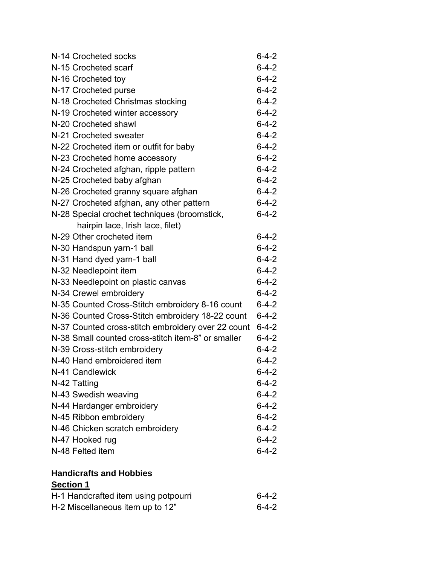| N-14 Crocheted socks                               | $6 - 4 - 2$ |
|----------------------------------------------------|-------------|
| N-15 Crocheted scarf                               | $6 - 4 - 2$ |
| N-16 Crocheted toy                                 | $6 - 4 - 2$ |
| N-17 Crocheted purse                               | $6 - 4 - 2$ |
| N-18 Crocheted Christmas stocking                  | $6 - 4 - 2$ |
| N-19 Crocheted winter accessory                    | $6 - 4 - 2$ |
| N-20 Crocheted shawl                               | $6 - 4 - 2$ |
| N-21 Crocheted sweater                             | $6 - 4 - 2$ |
| N-22 Crocheted item or outfit for baby             | $6 - 4 - 2$ |
| N-23 Crocheted home accessory                      | $6 - 4 - 2$ |
| N-24 Crocheted afghan, ripple pattern              | $6 - 4 - 2$ |
| N-25 Crocheted baby afghan                         | $6 - 4 - 2$ |
| N-26 Crocheted granny square afghan                | $6 - 4 - 2$ |
| N-27 Crocheted afghan, any other pattern           | $6 - 4 - 2$ |
| N-28 Special crochet techniques (broomstick,       | $6 - 4 - 2$ |
| hairpin lace, Irish lace, filet)                   |             |
| N-29 Other crocheted item                          | $6 - 4 - 2$ |
| N-30 Handspun yarn-1 ball                          | $6 - 4 - 2$ |
| N-31 Hand dyed yarn-1 ball                         | $6 - 4 - 2$ |
| N-32 Needlepoint item                              | $6 - 4 - 2$ |
| N-33 Needlepoint on plastic canvas                 | $6 - 4 - 2$ |
| N-34 Crewel embroidery                             | $6 - 4 - 2$ |
| N-35 Counted Cross-Stitch embroidery 8-16 count    | $6 - 4 - 2$ |
| N-36 Counted Cross-Stitch embroidery 18-22 count   | $6 - 4 - 2$ |
| N-37 Counted cross-stitch embroidery over 22 count | $6 - 4 - 2$ |
| N-38 Small counted cross-stitch item-8" or smaller | $6 - 4 - 2$ |
| N-39 Cross-stitch embroidery                       | $6 - 4 - 2$ |
| N-40 Hand embroidered item                         | $6 - 4 - 2$ |
| N-41 Candlewick                                    | $6 - 4 - 2$ |
| N-42 Tatting                                       | $6 - 4 - 2$ |
| N-43 Swedish weaving                               | $6 - 4 - 2$ |
| N-44 Hardanger embroidery                          | $6 - 4 - 2$ |
| N-45 Ribbon embroidery                             | $6 - 4 - 2$ |
| N-46 Chicken scratch embroidery                    | $6 - 4 - 2$ |
| N-47 Hooked rug                                    | $6 - 4 - 2$ |
| N-48 Felted item                                   | $6 - 4 - 2$ |
|                                                    |             |

### **Handicrafts and Hobbies Section 1**

| H-1 Handcrafted item using potpourri | 6-4-2       |
|--------------------------------------|-------------|
| H-2 Miscellaneous item up to 12"     | $6 - 4 - 2$ |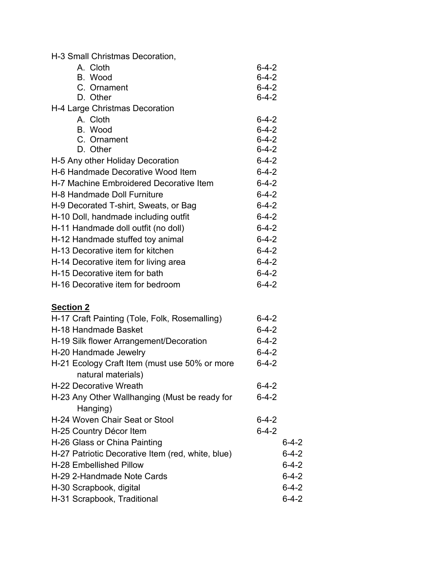| H-3 Small Christmas Decoration,                                       |                            |             |
|-----------------------------------------------------------------------|----------------------------|-------------|
| A. Cloth                                                              | $6 - 4 - 2$                |             |
| B. Wood                                                               | $6 - 4 - 2$                |             |
| C. Ornament                                                           | $6 - 4 - 2$                |             |
| D. Other                                                              | $6 - 4 - 2$                |             |
| H-4 Large Christmas Decoration                                        |                            |             |
| A. Cloth                                                              | $6 - 4 - 2$                |             |
| B. Wood                                                               | $6 - 4 - 2$                |             |
| C. Ornament<br>D. Other                                               | $6 - 4 - 2$<br>$6 - 4 - 2$ |             |
|                                                                       |                            |             |
| H-5 Any other Holiday Decoration<br>H-6 Handmade Decorative Wood Item | $6 - 4 - 2$<br>$6 - 4 - 2$ |             |
| H-7 Machine Embroidered Decorative Item                               | $6 - 4 - 2$                |             |
| H-8 Handmade Doll Furniture                                           | $6 - 4 - 2$                |             |
|                                                                       | $6 - 4 - 2$                |             |
| H-9 Decorated T-shirt, Sweats, or Bag                                 |                            |             |
| H-10 Doll, handmade including outfit                                  | $6 - 4 - 2$                |             |
| H-11 Handmade doll outfit (no doll)                                   | $6 - 4 - 2$                |             |
| H-12 Handmade stuffed toy animal                                      | $6 - 4 - 2$                |             |
| H-13 Decorative item for kitchen                                      | $6 - 4 - 2$                |             |
| H-14 Decorative item for living area                                  | $6 - 4 - 2$                |             |
| H-15 Decorative item for bath                                         | $6 - 4 - 2$                |             |
| H-16 Decorative item for bedroom                                      | $6 - 4 - 2$                |             |
| <b>Section 2</b>                                                      |                            |             |
| H-17 Craft Painting (Tole, Folk, Rosemalling)                         | $6 - 4 - 2$                |             |
| H-18 Handmade Basket                                                  | $6 - 4 - 2$                |             |
| H-19 Silk flower Arrangement/Decoration                               | $6 - 4 - 2$                |             |
| H-20 Handmade Jewelry                                                 | $6 - 4 - 2$                |             |
| H-21 Ecology Craft Item (must use 50% or more                         | $6 - 4 - 2$                |             |
| natural materials)                                                    |                            |             |
| H-22 Decorative Wreath                                                | $6 - 4 - 2$                |             |
| H-23 Any Other Wallhanging (Must be ready for                         | $6 - 4 - 2$                |             |
| Hanging)                                                              |                            |             |
| H-24 Woven Chair Seat or Stool                                        | $6 - 4 - 2$                |             |
| H-25 Country Décor Item                                               | $6 - 4 - 2$                |             |
| H-26 Glass or China Painting                                          |                            | $6 - 4 - 2$ |
| H-27 Patriotic Decorative Item (red, white, blue)                     |                            | $6 - 4 - 2$ |
| H-28 Embellished Pillow                                               |                            | $6 - 4 - 2$ |
| H-29 2-Handmade Note Cards                                            |                            | $6 - 4 - 2$ |
| H-30 Scrapbook, digital                                               |                            | $6 - 4 - 2$ |
| H-31 Scrapbook, Traditional                                           |                            | $6 - 4 - 2$ |